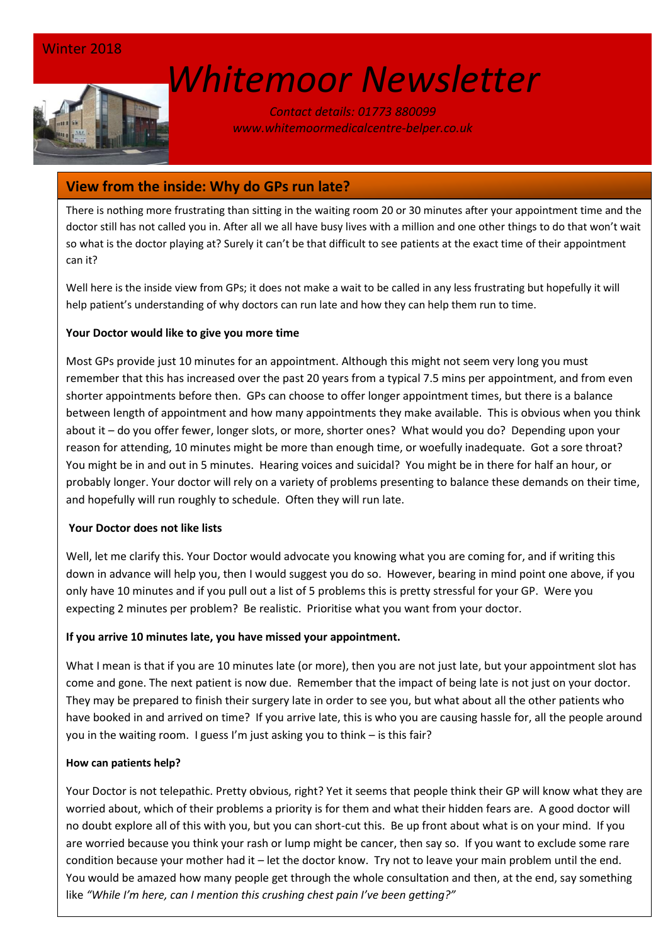# *[W](http://www.google.co.uk/url?sa=i&rct=j&q=&esrc=s&source=images&cd=&cad=rja&uact=8&ved=0ahUKEwin-cyyiKnSAhVEWBQKHSM6ALcQjRwIBw&url=http://www.marsh-associates.org/marsh associates healthcare.html&psig=AFQjCNFsQSs3O1ON_CSbThOIRhZZ0AZsGQ&ust=1488037117603691)hitemoor Newsletter*

*Contact details: 01773 880099 www.whitemoormedicalcentre-belper.co.uk*

# **View from the inside: Why do GPs run late?**

There is nothing more frustrating than sitting in the waiting room 20 or 30 minutes after your appointment time and the doctor still has not called you in. After all we all have busy lives with a million and one other things to do that won't wait so what is the doctor playing at? Surely it can't be that difficult to see patients at the exact time of their appointment can it?

Well here is the inside view from GPs; it does not make a wait to be called in any less frustrating but hopefully it will help patient's understanding of why doctors can run late and how they can help them run to time.

#### **Your Doctor would like to give you more time**

Most GPs provide just 10 minutes for an appointment. Although this might not seem very long you must remember that this has increased over the past 20 years from a typical 7.5 mins per appointment, and from even shorter appointments before then. GPs can choose to offer longer appointment times, but there is a balance between length of appointment and how many appointments they make available. This is obvious when you think about it – do you offer fewer, longer slots, or more, shorter ones? What would you do? Depending upon your reason for attending, 10 minutes might be more than enough time, or woefully inadequate. Got a sore throat? You might be in and out in 5 minutes. Hearing voices and suicidal? You might be in there for half an hour, or probably longer. Your doctor will rely on a variety of problems presenting to balance these demands on their time, and hopefully will run roughly to schedule. Often they will run late.

#### **Your Doctor does not like lists**

Well, let me clarify this. Your Doctor would advocate you knowing what you are coming for, and if writing this down in advance will help you, then I would suggest you do so. However, bearing in mind point one above, if you only have 10 minutes and if you pull out a list of 5 problems this is pretty stressful for your GP. Were you expecting 2 minutes per problem? Be realistic. Prioritise what you want from your doctor.

#### **If you arrive 10 minutes late, you have missed your appointment.**

What I mean is that if you are 10 minutes late (or more), then you are not just late, but your appointment slot has come and gone. The next patient is now due. Remember that the impact of being late is not just on your doctor. They may be prepared to finish their surgery late in order to see you, but what about all the other patients who have booked in and arrived on time? If you arrive late, this is who you are causing hassle for, all the people around you in the waiting room. I guess I'm just asking you to think – is this fair?

#### **How can patients help?**

Your Doctor is not telepathic. Pretty obvious, right? Yet it seems that people think their GP will know what they are worried about, which of their problems a priority is for them and what their hidden fears are. A good doctor will no doubt explore all of this with you, but you can short-cut this. Be up front about what is on your mind. If you are worried because you think your rash or lump might be cancer, then say so. If you want to exclude some rare condition because your mother had it – let the doctor know. Try not to leave your main problem until the end. You would be amazed how many people get through the whole consultation and then, at the end, say something like *"While I'm here, can I mention this crushing chest pain I've been getting?"*